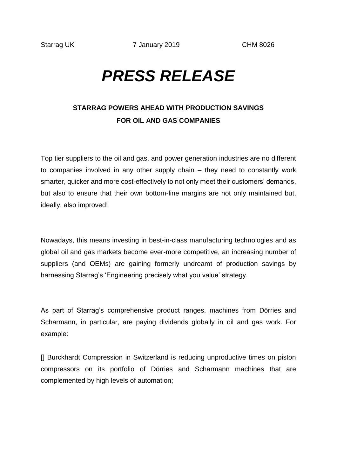## *PRESS RELEASE*

## **STARRAG POWERS AHEAD WITH PRODUCTION SAVINGS FOR OIL AND GAS COMPANIES**

Top tier suppliers to the oil and gas, and power generation industries are no different to companies involved in any other supply chain – they need to constantly work smarter, quicker and more cost-effectively to not only meet their customers' demands, but also to ensure that their own bottom-line margins are not only maintained but, ideally, also improved!

Nowadays, this means investing in best-in-class manufacturing technologies and as global oil and gas markets become ever-more competitive, an increasing number of suppliers (and OEMs) are gaining formerly undreamt of production savings by harnessing Starrag's 'Engineering precisely what you value' strategy.

As part of Starrag's comprehensive product ranges, machines from Dörries and Scharmann, in particular, are paying dividends globally in oil and gas work. For example:

[] Burckhardt Compression in Switzerland is reducing unproductive times on piston compressors on its portfolio of Dörries and Scharmann machines that are complemented by high levels of automation;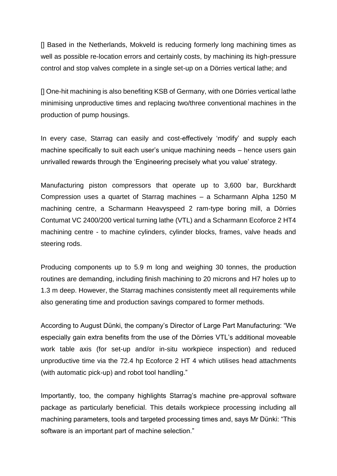[] Based in the Netherlands, Mokveld is reducing formerly long machining times as well as possible re-location errors and certainly costs, by machining its high-pressure control and stop valves complete in a single set-up on a Dörries vertical lathe; and

[] One-hit machining is also benefiting KSB of Germany, with one Dörries vertical lathe minimising unproductive times and replacing two/three conventional machines in the production of pump housings.

In every case, Starrag can easily and cost-effectively 'modify' and supply each machine specifically to suit each user's unique machining needs – hence users gain unrivalled rewards through the 'Engineering precisely what you value' strategy.

Manufacturing piston compressors that operate up to 3,600 bar, Burckhardt Compression uses a quartet of Starrag machines – a Scharmann Alpha 1250 M machining centre, a Scharmann Heavyspeed 2 ram-type boring mill, a Dörries Contumat VC 2400/200 vertical turning lathe (VTL) and a Scharmann Ecoforce 2 HT4 machining centre - to machine cylinders, cylinder blocks, frames, valve heads and steering rods.

Producing components up to 5.9 m long and weighing 30 tonnes, the production routines are demanding, including finish machining to 20 microns and H7 holes up to 1.3 m deep. However, the Starrag machines consistently meet all requirements while also generating time and production savings compared to former methods.

According to August Dünki, the company's Director of Large Part Manufacturing: "We especially gain extra benefits from the use of the Dörries VTL's additional moveable work table axis (for set-up and/or in-situ workpiece inspection) and reduced unproductive time via the 72.4 hp Ecoforce 2 HT 4 which utilises head attachments (with automatic pick-up) and robot tool handling."

Importantly, too, the company highlights Starrag's machine pre-approval software package as particularly beneficial. This details workpiece processing including all machining parameters, tools and targeted processing times and, says Mr Dünki: "This software is an important part of machine selection."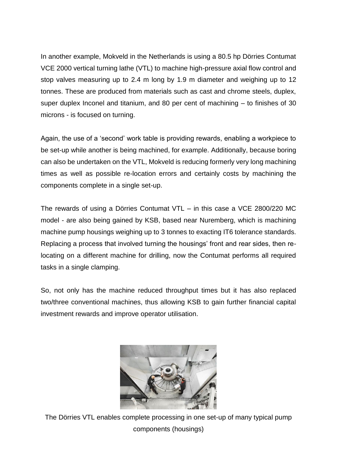In another example, Mokveld in the Netherlands is using a 80.5 hp Dörries Contumat VCE 2000 vertical turning lathe (VTL) to machine high-pressure axial flow control and stop valves measuring up to 2.4 m long by 1.9 m diameter and weighing up to 12 tonnes. These are produced from materials such as cast and chrome steels, duplex, super duplex Inconel and titanium, and 80 per cent of machining – to finishes of 30 microns - is focused on turning.

Again, the use of a 'second' work table is providing rewards, enabling a workpiece to be set-up while another is being machined, for example. Additionally, because boring can also be undertaken on the VTL, Mokveld is reducing formerly very long machining times as well as possible re-location errors and certainly costs by machining the components complete in a single set-up.

The rewards of using a Dörries Contumat VTL – in this case a VCE 2800/220 MC model - are also being gained by KSB, based near Nuremberg, which is machining machine pump housings weighing up to 3 tonnes to exacting IT6 tolerance standards. Replacing a process that involved turning the housings' front and rear sides, then relocating on a different machine for drilling, now the Contumat performs all required tasks in a single clamping.

So, not only has the machine reduced throughput times but it has also replaced two/three conventional machines, thus allowing KSB to gain further financial capital investment rewards and improve operator utilisation.



The Dörries VTL enables complete processing in one set-up of many typical pump components (housings)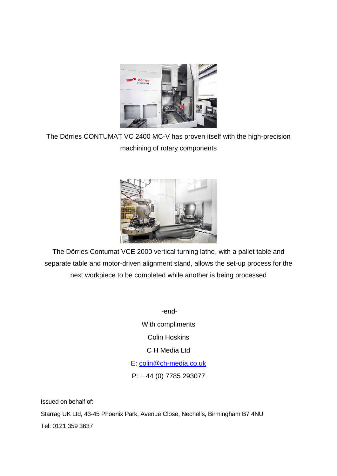

The Dörries CONTUMAT VC 2400 MC-V has proven itself with the high-precision machining of rotary components



The Dörries Contumat VCE 2000 vertical turning lathe, with a pallet table and separate table and motor-driven alignment stand, allows the set-up process for the next workpiece to be completed while another is being processed

> -end-With compliments Colin Hoskins C H Media Ltd E: [colin@ch-media.co.uk](mailto:colin@ch-media.co.uk) P: + 44 (0) 7785 293077

Issued on behalf of: Starrag UK Ltd, 43-45 Phoenix Park, Avenue Close, Nechells, Birmingham B7 4NU Tel: 0121 359 3637